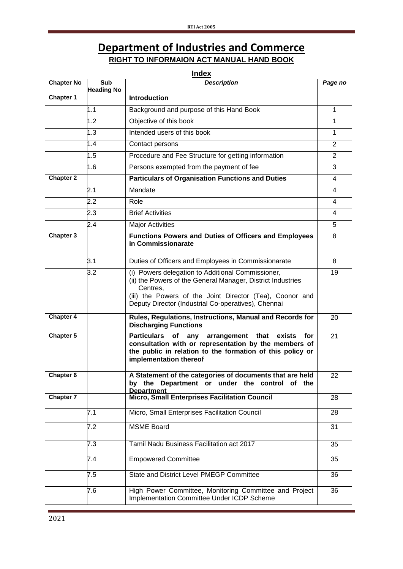## **Department of Industries and Commerce RIGHT TO INFORMAION ACT MANUAL HAND BOOK**

**Index**

| <b>Chapter No</b> | Sub               | 11 1 4 6 A<br><b>Description</b>                                                                                                                                                                                                                | Page no        |
|-------------------|-------------------|-------------------------------------------------------------------------------------------------------------------------------------------------------------------------------------------------------------------------------------------------|----------------|
| Chapter 1         | <b>Heading No</b> | <b>Introduction</b>                                                                                                                                                                                                                             |                |
|                   | 1.1               | Background and purpose of this Hand Book                                                                                                                                                                                                        | 1              |
|                   | 1.2               | Objective of this book                                                                                                                                                                                                                          | 1              |
|                   | 1.3               | Intended users of this book                                                                                                                                                                                                                     | 1              |
|                   | 1.4               | Contact persons                                                                                                                                                                                                                                 | 2              |
|                   | 1.5               | Procedure and Fee Structure for getting information                                                                                                                                                                                             | $\overline{2}$ |
|                   | 1.6               | Persons exempted from the payment of fee                                                                                                                                                                                                        | 3              |
| <b>Chapter 2</b>  |                   | <b>Particulars of Organisation Functions and Duties</b>                                                                                                                                                                                         | $\overline{4}$ |
|                   | 2.1               | Mandate                                                                                                                                                                                                                                         | 4              |
|                   | 2.2               | Role                                                                                                                                                                                                                                            | 4              |
|                   |                   |                                                                                                                                                                                                                                                 |                |
|                   | 2.3               | <b>Brief Activities</b>                                                                                                                                                                                                                         | 4              |
|                   | 2.4               | <b>Major Activities</b>                                                                                                                                                                                                                         | 5              |
| Chapter 3         |                   | <b>Functions Powers and Duties of Officers and Employees</b><br>in Commissionarate                                                                                                                                                              | 8              |
|                   | 3.1               | Duties of Officers and Employees in Commissionarate                                                                                                                                                                                             | 8              |
|                   | 3.2               | (i) Powers delegation to Additional Commissioner,<br>(ii) the Powers of the General Manager, District Industries<br>Centres,<br>(iii) the Powers of the Joint Director (Tea), Coonor and<br>Deputy Director (Industrial Co-operatives), Chennai | 19             |
| <b>Chapter 4</b>  |                   | Rules, Regulations, Instructions, Manual and Records for<br><b>Discharging Functions</b>                                                                                                                                                        | 20             |
| Chapter 5         |                   | <b>Particulars</b><br>arrangement that<br>of<br>any<br>exists<br>for<br>consultation with or representation by the members of<br>the public in relation to the formation of this policy or<br>implementation thereof                            | 21             |
| <b>Chapter 6</b>  |                   | A Statement of the categories of documents that are held<br>by the Department or under the control of the<br><b>Department</b>                                                                                                                  | 22             |
| Chapter 7         |                   | Micro, Small Enterprises Facilitation Council                                                                                                                                                                                                   | 28             |
|                   | 7.1               | Micro, Small Enterprises Facilitation Council                                                                                                                                                                                                   | 28             |
|                   | 7.2               | <b>MSME Board</b>                                                                                                                                                                                                                               | 31             |
|                   | 7.3               | Tamil Nadu Business Facilitation act 2017                                                                                                                                                                                                       | 35             |
|                   | 7.4               | <b>Empowered Committee</b>                                                                                                                                                                                                                      | 35             |
|                   | 7.5               | <b>State and District Level PMEGP Committee</b>                                                                                                                                                                                                 | 36             |
|                   | 7.6               | High Power Committee, Monitoring Committee and Project<br>Implementation Committee Under ICDP Scheme                                                                                                                                            | 36             |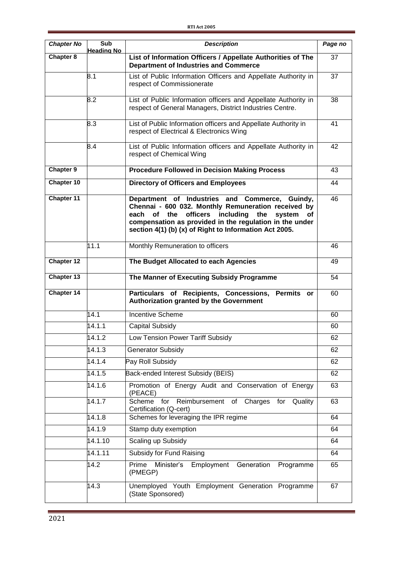| Chapter No | <b>Sub</b><br><b>Heading No</b> | <b>Description</b>                                                                                                                                                                                                                                                                        | Page no |
|------------|---------------------------------|-------------------------------------------------------------------------------------------------------------------------------------------------------------------------------------------------------------------------------------------------------------------------------------------|---------|
| Chapter 8  |                                 | List of Information Officers / Appellate Authorities of The<br><b>Department of Industries and Commerce</b>                                                                                                                                                                               | 37      |
|            | 8.1                             | List of Public Information Officers and Appellate Authority in<br>respect of Commissionerate                                                                                                                                                                                              | 37      |
|            | 8.2                             | List of Public Information officers and Appellate Authority in<br>respect of General Managers, District Industries Centre.                                                                                                                                                                | 38      |
|            | 8.3                             | List of Public Information officers and Appellate Authority in<br>respect of Electrical & Electronics Wing                                                                                                                                                                                | 41      |
|            | 8.4                             | List of Public Information officers and Appellate Authority in<br>respect of Chemical Wing                                                                                                                                                                                                | 42      |
| Chapter 9  |                                 | <b>Procedure Followed in Decision Making Process</b>                                                                                                                                                                                                                                      | 43      |
| Chapter 10 |                                 | <b>Directory of Officers and Employees</b>                                                                                                                                                                                                                                                | 44      |
| Chapter 11 |                                 | Department of Industries and Commerce, Guindy,<br>Chennai - 600 032. Monthly Remuneration received by<br>officers including<br>each<br>of the<br>the<br>system<br>of<br>compensation as provided in the regulation in the under<br>section 4(1) (b) (x) of Right to Information Act 2005. | 46      |
|            | 11.1                            | Monthly Remuneration to officers                                                                                                                                                                                                                                                          | 46      |
| Chapter 12 |                                 | The Budget Allocated to each Agencies                                                                                                                                                                                                                                                     | 49      |
| Chapter 13 |                                 | The Manner of Executing Subsidy Programme                                                                                                                                                                                                                                                 | 54      |
| Chapter 14 |                                 | Particulars of Recipients, Concessions,<br><b>Permits</b><br>or<br>Authorization granted by the Government                                                                                                                                                                                | 60      |
|            | 14.1                            | <b>Incentive Scheme</b>                                                                                                                                                                                                                                                                   | 60      |
|            | 14.1.1                          | <b>Capital Subsidy</b>                                                                                                                                                                                                                                                                    | 60      |
|            | 14.1.2                          | Low Tension Power Tariff Subsidy                                                                                                                                                                                                                                                          | 62      |
|            | 14.1.3                          | <b>Generator Subsidy</b>                                                                                                                                                                                                                                                                  | 62      |
|            | 14.1.4                          | Pay Roll Subsidy                                                                                                                                                                                                                                                                          | 62      |
|            | 14.1.5                          | Back-ended Interest Subsidy (BEIS)                                                                                                                                                                                                                                                        | 62      |
|            | 14.1.6                          | Promotion of Energy Audit and Conservation of Energy<br>(PEACE)                                                                                                                                                                                                                           | 63      |
|            | 14.1.7                          | Reimbursement of Charges for<br>for<br>Scheme<br>Quality<br>Certification (Q-cert)                                                                                                                                                                                                        | 63      |
|            | 14.1.8                          | Schemes for leveraging the IPR regime                                                                                                                                                                                                                                                     | 64      |
|            | 14.1.9                          | Stamp duty exemption                                                                                                                                                                                                                                                                      | 64      |
|            | 14.1.10                         | <b>Scaling up Subsidy</b>                                                                                                                                                                                                                                                                 | 64      |
|            | 14.1.11                         | Subsidy for Fund Raising                                                                                                                                                                                                                                                                  | 64      |
|            | 14.2                            | Prime<br>Minister's<br>Employment Generation<br>Programme<br>(PMEGP)                                                                                                                                                                                                                      | 65      |
|            | 14.3                            | Unemployed Youth Employment Generation Programme<br>(State Sponsored)                                                                                                                                                                                                                     | 67      |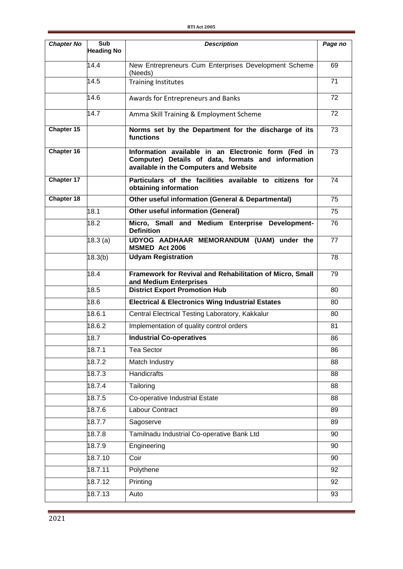| <b>Chapter No</b> | Sub<br><b>Heading No</b> | <b>Description</b>                                                                                                                                  | Page no |
|-------------------|--------------------------|-----------------------------------------------------------------------------------------------------------------------------------------------------|---------|
|                   | 14.4                     | New Entrepreneurs Cum Enterprises Development Scheme<br>(Needs)                                                                                     | 69      |
|                   | 14.5                     | <b>Training Institutes</b>                                                                                                                          | 71      |
|                   | 14.6                     | Awards for Entrepreneurs and Banks                                                                                                                  | 72      |
|                   | 14.7                     | Amma Skill Training & Employment Scheme                                                                                                             | 72      |
| Chapter 15        |                          | Norms set by the Department for the discharge of its<br>functions                                                                                   | 73      |
| Chapter 16        |                          | Information available in an Electronic form (Fed in<br>Computer) Details of data, formats and information<br>available in the Computers and Website | 73      |
| <b>Chapter 17</b> |                          | Particulars of the facilities available to citizens for<br>obtaining information                                                                    | 74      |
| Chapter 18        |                          | Other useful information (General & Departmental)                                                                                                   | 75      |
|                   | 18.1                     | <b>Other useful information (General)</b>                                                                                                           | 75      |
|                   | 18.2                     | Micro, Small and Medium Enterprise Development-<br><b>Definition</b>                                                                                | 76      |
|                   | 18.3(a)                  | UDYOG AADHAAR MEMORANDUM (UAM) under the<br>MSMED Act 2006                                                                                          | 77      |
|                   | 18.3(b)                  | <b>Udyam Registration</b>                                                                                                                           | 78      |
|                   | 18.4                     | Framework for Revival and Rehabilitation of Micro, Small<br>and Medium Enterprises                                                                  | 79      |
|                   | 18.5                     | <b>District Export Promotion Hub</b>                                                                                                                | 80      |
|                   | 18.6                     | <b>Electrical &amp; Electronics Wing Industrial Estates</b>                                                                                         | 80      |
|                   | 18.6.1                   | Central Electrical Testing Laboratory, Kakkalur                                                                                                     | 80      |
|                   | 18.6.2                   | Implementation of quality control orders                                                                                                            | 81      |
|                   | 18.7                     | <b>Industrial Co-operatives</b>                                                                                                                     | 86      |
|                   | 18.7.1                   | Tea Sector                                                                                                                                          | 86      |
|                   | 18.7.2                   | Match Industry                                                                                                                                      | 88      |
|                   | 18.7.3                   | Handicrafts                                                                                                                                         | 88      |
|                   | 18.7.4                   | Tailoring                                                                                                                                           | 88      |
|                   | 18.7.5                   | Co-operative Industrial Estate                                                                                                                      | 88      |
|                   | 18.7.6                   | Labour Contract                                                                                                                                     | 89      |
|                   | 18.7.7                   | Sagoserve                                                                                                                                           | 89      |
|                   | 18.7.8                   | Tamilnadu Industrial Co-operative Bank Ltd                                                                                                          | 90      |
|                   | 18.7.9                   | Engineering                                                                                                                                         | 90      |
|                   | 18.7.10                  | Coir                                                                                                                                                | 90      |
|                   | 18.7.11                  | Polythene                                                                                                                                           | 92      |
|                   | 18.7.12                  | Printing                                                                                                                                            | 92      |
|                   | 18.7.13                  | Auto                                                                                                                                                | 93      |